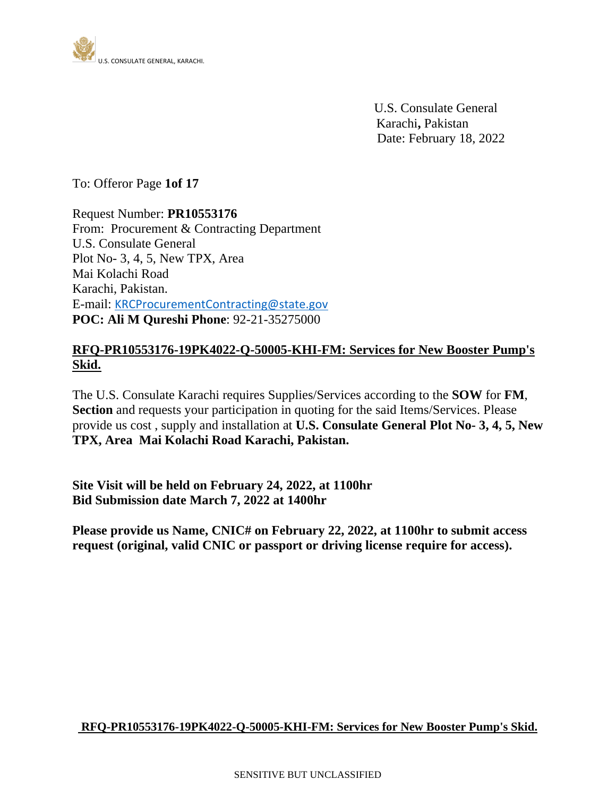

 U.S. Consulate General Karachi**,** Pakistan Date: February 18, 2022

To: Offeror Page **1of 17**

Request Number: **PR10553176** From: Procurement & Contracting Department U.S. Consulate General Plot No- 3, 4, 5, New TPX, Area Mai Kolachi Road Karachi, Pakistan. E-mail: [KRCProcurementContracting@state.gov](mailto:KRCProcurementContracting@state.gov) **POC: Ali M Qureshi Phone**: 92-21-35275000

## **RFQ-PR10553176-19PK4022-Q-50005-KHI-FM: Services for New Booster Pump's Skid.**

The U.S. Consulate Karachi requires Supplies/Services according to the **SOW** for **FM**, **Section** and requests your participation in quoting for the said Items/Services. Please provide us cost , supply and installation at **U.S. Consulate General Plot No- 3, 4, 5, New TPX, Area Mai Kolachi Road Karachi, Pakistan.**

**Site Visit will be held on February 24, 2022, at 1100hr Bid Submission date March 7, 2022 at 1400hr**

**Please provide us Name, CNIC# on February 22, 2022, at 1100hr to submit access request (original, valid CNIC or passport or driving license require for access).**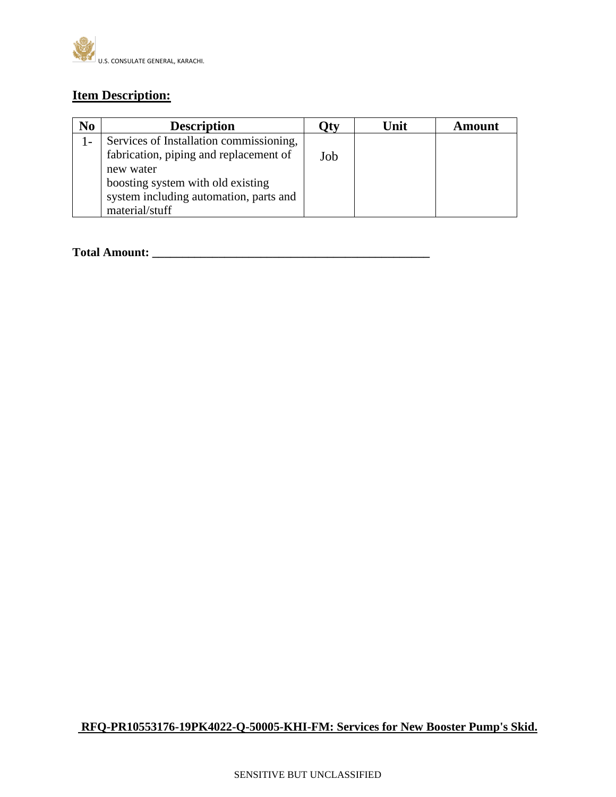

## **Item Description:**

| N <sub>0</sub> | <b>Description</b>                      | )tv | Unit | <b>Amount</b> |
|----------------|-----------------------------------------|-----|------|---------------|
|                | Services of Installation commissioning, |     |      |               |
|                | fabrication, piping and replacement of  | Job |      |               |
|                | new water                               |     |      |               |
|                | boosting system with old existing       |     |      |               |
|                | system including automation, parts and  |     |      |               |
|                | material/stuff                          |     |      |               |

#### **Total Amount: \_\_\_\_\_\_\_\_\_\_\_\_\_\_\_\_\_\_\_\_\_\_\_\_\_\_\_\_\_\_\_\_\_\_\_\_\_\_\_\_\_\_\_\_\_\_**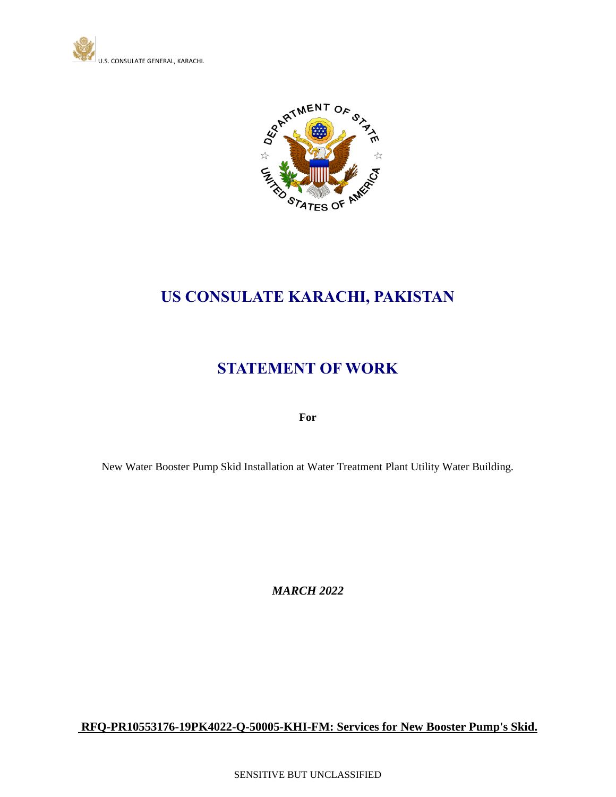



# **US CONSULATE KARACHI, PAKISTAN**

## **STATEMENT OF WORK**

**For**

New Water Booster Pump Skid Installation at Water Treatment Plant Utility Water Building.

*MARCH 2022*

**RFQ-PR10553176-19PK4022-Q-50005-KHI-FM: Services for New Booster Pump's Skid.**

SENSITIVE BUT UNCLASSIFIED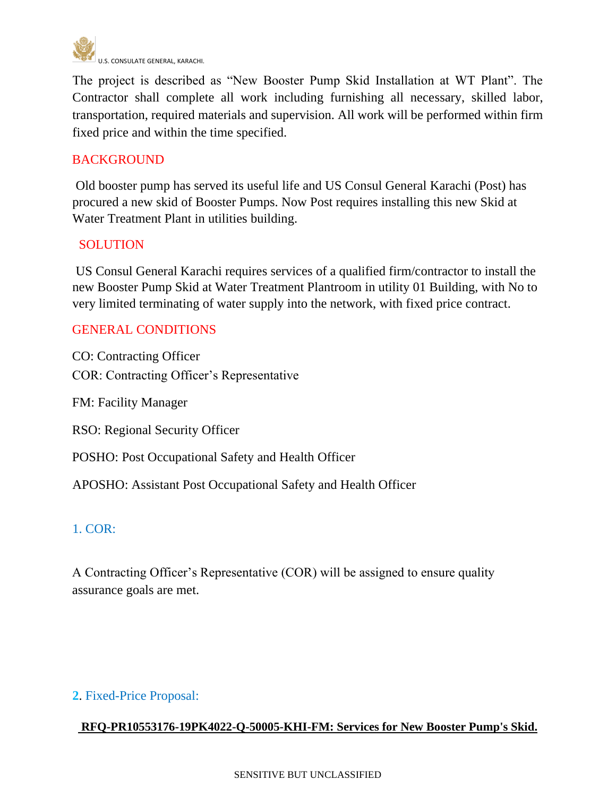

The project is described as "New Booster Pump Skid Installation at WT Plant". The Contractor shall complete all work including furnishing all necessary, skilled labor, transportation, required materials and supervision. All work will be performed within firm fixed price and within the time specified.

## **BACKGROUND**

Old booster pump has served its useful life and US Consul General Karachi (Post) has procured a new skid of Booster Pumps. Now Post requires installing this new Skid at Water Treatment Plant in utilities building.

#### **SOLUTION**

US Consul General Karachi requires services of a qualified firm/contractor to install the new Booster Pump Skid at Water Treatment Plantroom in utility 01 Building, with No to very limited terminating of water supply into the network, with fixed price contract.

## GENERAL CONDITIONS

CO: Contracting Officer COR: Contracting Officer's Representative

FM: Facility Manager

RSO: Regional Security Officer

POSHO: Post Occupational Safety and Health Officer

APOSHO: Assistant Post Occupational Safety and Health Officer

## 1. COR:

A Contracting Officer's Representative (COR) will be assigned to ensure quality assurance goals are met.

#### **2**. Fixed-Price Proposal: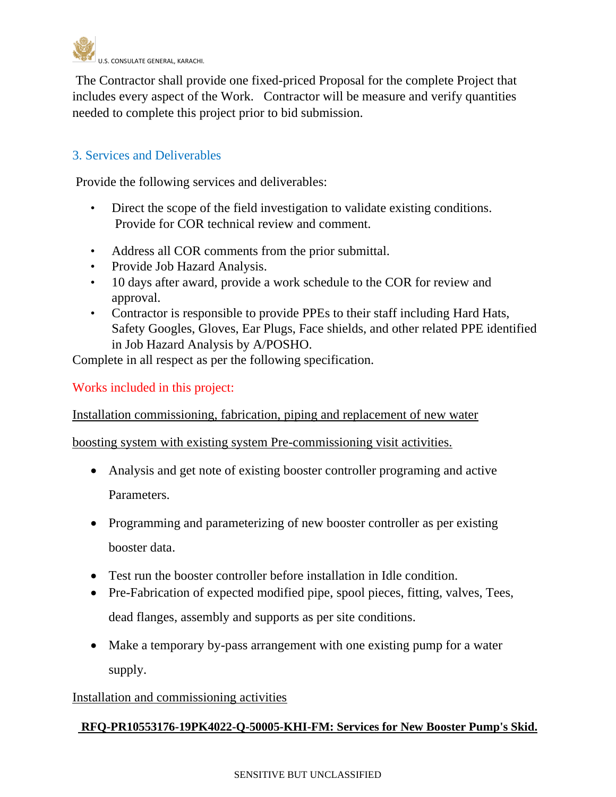

The Contractor shall provide one fixed-priced Proposal for the complete Project that includes every aspect of the Work. Contractor will be measure and verify quantities needed to complete this project prior to bid submission.

## 3. Services and Deliverables

Provide the following services and deliverables:

- Direct the scope of the field investigation to validate existing conditions. Provide for COR technical review and comment.
- Address all COR comments from the prior submittal.
- Provide Job Hazard Analysis.
- 10 days after award, provide a work schedule to the COR for review and approval.
- Contractor is responsible to provide PPEs to their staff including Hard Hats, Safety Googles, Gloves, Ear Plugs, Face shields, and other related PPE identified in Job Hazard Analysis by A/POSHO.

Complete in all respect as per the following specification.

Works included in this project:

Installation commissioning, fabrication, piping and replacement of new water

boosting system with existing system Pre-commissioning visit activities.

- Analysis and get note of existing booster controller programing and active Parameters.
- Programming and parameterizing of new booster controller as per existing booster data.
- Test run the booster controller before installation in Idle condition.
- Pre-Fabrication of expected modified pipe, spool pieces, fitting, valves, Tees, dead flanges, assembly and supports as per site conditions.
- Make a temporary by-pass arrangement with one existing pump for a water supply.

Installation and commissioning activities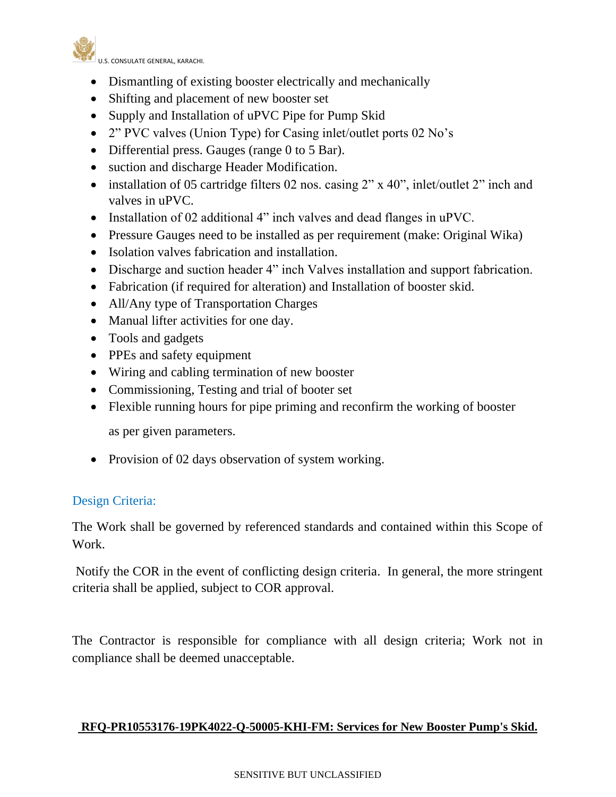

- Dismantling of existing booster electrically and mechanically
- Shifting and placement of new booster set
- Supply and Installation of uPVC Pipe for Pump Skid
- 2" PVC valves (Union Type) for Casing inlet/outlet ports 02 No's
- Differential press. Gauges (range 0 to 5 Bar).
- suction and discharge Header Modification.
- installation of 05 cartridge filters 02 nos. casing 2" x 40", inlet/outlet 2" inch and valves in uPVC.
- Installation of 02 additional 4" inch valves and dead flanges in uPVC.
- Pressure Gauges need to be installed as per requirement (make: Original Wika)
- Isolation valves fabrication and installation.
- Discharge and suction header 4" inch Valves installation and support fabrication.
- Fabrication (if required for alteration) and Installation of booster skid.
- All/Any type of Transportation Charges
- Manual lifter activities for one day.
- Tools and gadgets
- PPEs and safety equipment
- Wiring and cabling termination of new booster
- Commissioning, Testing and trial of booter set
- Flexible running hours for pipe priming and reconfirm the working of booster

as per given parameters.

• Provision of 02 days observation of system working.

## Design Criteria:

The Work shall be governed by referenced standards and contained within this Scope of Work.

Notify the COR in the event of conflicting design criteria. In general, the more stringent criteria shall be applied, subject to COR approval.

The Contractor is responsible for compliance with all design criteria; Work not in compliance shall be deemed unacceptable.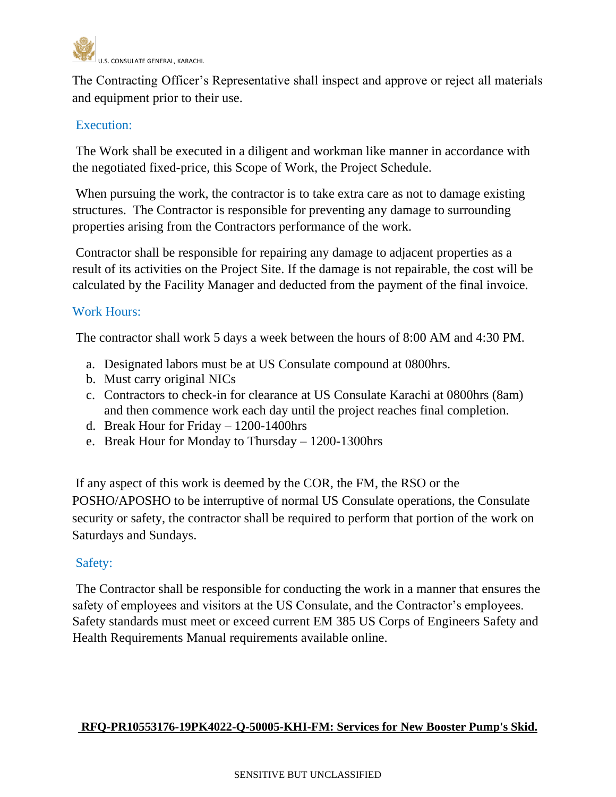

The Contracting Officer's Representative shall inspect and approve or reject all materials and equipment prior to their use.

## Execution:

The Work shall be executed in a diligent and workman like manner in accordance with the negotiated fixed-price, this Scope of Work, the Project Schedule.

When pursuing the work, the contractor is to take extra care as not to damage existing structures. The Contractor is responsible for preventing any damage to surrounding properties arising from the Contractors performance of the work.

Contractor shall be responsible for repairing any damage to adjacent properties as a result of its activities on the Project Site. If the damage is not repairable, the cost will be calculated by the Facility Manager and deducted from the payment of the final invoice.

#### Work Hours:

The contractor shall work 5 days a week between the hours of 8:00 AM and 4:30 PM.

- a. Designated labors must be at US Consulate compound at 0800hrs.
- b. Must carry original NICs
- c. Contractors to check-in for clearance at US Consulate Karachi at 0800hrs (8am) and then commence work each day until the project reaches final completion.
- d. Break Hour for Friday 1200-1400hrs
- e. Break Hour for Monday to Thursday 1200-1300hrs

If any aspect of this work is deemed by the COR, the FM, the RSO or the POSHO/APOSHO to be interruptive of normal US Consulate operations, the Consulate security or safety, the contractor shall be required to perform that portion of the work on Saturdays and Sundays.

#### Safety:

The Contractor shall be responsible for conducting the work in a manner that ensures the safety of employees and visitors at the US Consulate, and the Contractor's employees. Safety standards must meet or exceed current EM 385 US Corps of Engineers Safety and Health Requirements Manual requirements available online.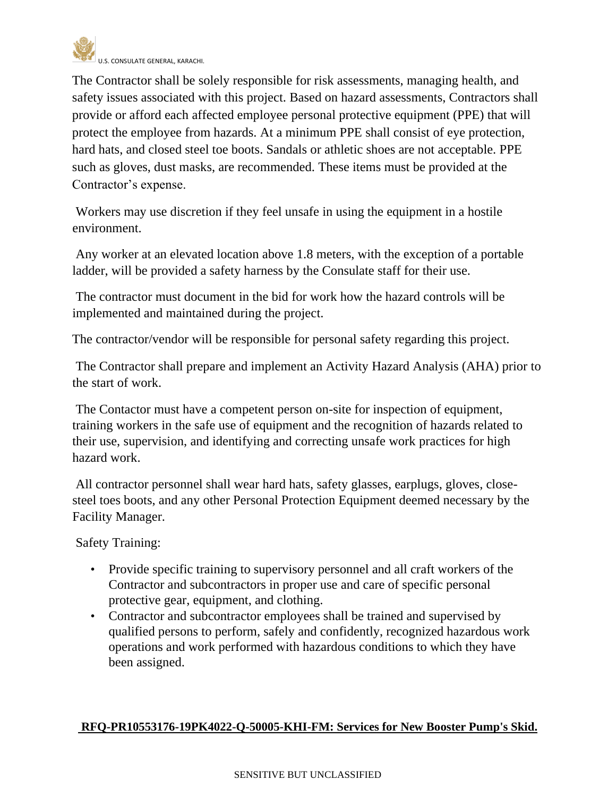

The Contractor shall be solely responsible for risk assessments, managing health, and safety issues associated with this project. Based on hazard assessments, Contractors shall provide or afford each affected employee personal protective equipment (PPE) that will protect the employee from hazards. At a minimum PPE shall consist of eye protection, hard hats, and closed steel toe boots. Sandals or athletic shoes are not acceptable. PPE such as gloves, dust masks, are recommended. These items must be provided at the Contractor's expense.

Workers may use discretion if they feel unsafe in using the equipment in a hostile environment.

Any worker at an elevated location above 1.8 meters, with the exception of a portable ladder, will be provided a safety harness by the Consulate staff for their use.

The contractor must document in the bid for work how the hazard controls will be implemented and maintained during the project.

The contractor/vendor will be responsible for personal safety regarding this project.

The Contractor shall prepare and implement an Activity Hazard Analysis (AHA) prior to the start of work.

The Contactor must have a competent person on-site for inspection of equipment, training workers in the safe use of equipment and the recognition of hazards related to their use, supervision, and identifying and correcting unsafe work practices for high hazard work.

All contractor personnel shall wear hard hats, safety glasses, earplugs, gloves, closesteel toes boots, and any other Personal Protection Equipment deemed necessary by the Facility Manager.

Safety Training:

- Provide specific training to supervisory personnel and all craft workers of the Contractor and subcontractors in proper use and care of specific personal protective gear, equipment, and clothing.
- Contractor and subcontractor employees shall be trained and supervised by qualified persons to perform, safely and confidently, recognized hazardous work operations and work performed with hazardous conditions to which they have been assigned.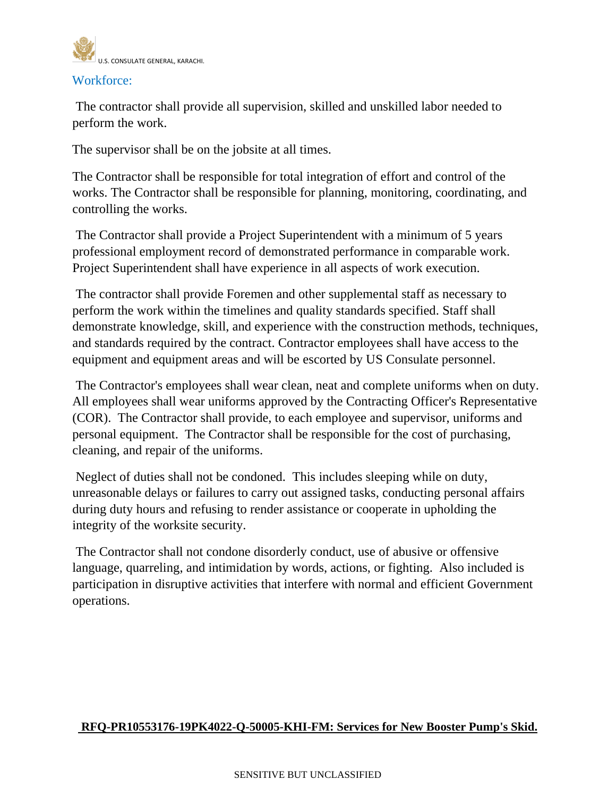

#### Workforce:

The contractor shall provide all supervision, skilled and unskilled labor needed to perform the work.

The supervisor shall be on the jobsite at all times.

The Contractor shall be responsible for total integration of effort and control of the works. The Contractor shall be responsible for planning, monitoring, coordinating, and controlling the works.

The Contractor shall provide a Project Superintendent with a minimum of 5 years professional employment record of demonstrated performance in comparable work. Project Superintendent shall have experience in all aspects of work execution.

The contractor shall provide Foremen and other supplemental staff as necessary to perform the work within the timelines and quality standards specified. Staff shall demonstrate knowledge, skill, and experience with the construction methods, techniques, and standards required by the contract. Contractor employees shall have access to the equipment and equipment areas and will be escorted by US Consulate personnel.

The Contractor's employees shall wear clean, neat and complete uniforms when on duty. All employees shall wear uniforms approved by the Contracting Officer's Representative (COR). The Contractor shall provide, to each employee and supervisor, uniforms and personal equipment. The Contractor shall be responsible for the cost of purchasing, cleaning, and repair of the uniforms.

Neglect of duties shall not be condoned. This includes sleeping while on duty, unreasonable delays or failures to carry out assigned tasks, conducting personal affairs during duty hours and refusing to render assistance or cooperate in upholding the integrity of the worksite security.

The Contractor shall not condone disorderly conduct, use of abusive or offensive language, quarreling, and intimidation by words, actions, or fighting. Also included is participation in disruptive activities that interfere with normal and efficient Government operations.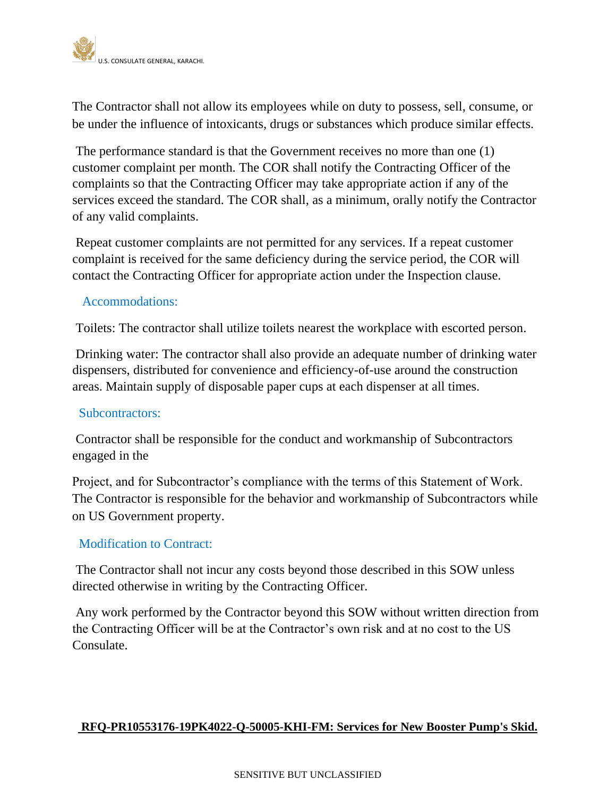

The Contractor shall not allow its employees while on duty to possess, sell, consume, or be under the influence of intoxicants, drugs or substances which produce similar effects.

The performance standard is that the Government receives no more than one (1) customer complaint per month. The COR shall notify the Contracting Officer of the complaints so that the Contracting Officer may take appropriate action if any of the services exceed the standard. The COR shall, as a minimum, orally notify the Contractor of any valid complaints.

Repeat customer complaints are not permitted for any services. If a repeat customer complaint is received for the same deficiency during the service period, the COR will contact the Contracting Officer for appropriate action under the Inspection clause.

#### Accommodations:

Toilets: The contractor shall utilize toilets nearest the workplace with escorted person.

Drinking water: The contractor shall also provide an adequate number of drinking water dispensers, distributed for convenience and efficiency-of-use around the construction areas. Maintain supply of disposable paper cups at each dispenser at all times.

#### Subcontractors:

Contractor shall be responsible for the conduct and workmanship of Subcontractors engaged in the

Project, and for Subcontractor's compliance with the terms of this Statement of Work. The Contractor is responsible for the behavior and workmanship of Subcontractors while on US Government property.

#### Modification to Contract:

The Contractor shall not incur any costs beyond those described in this SOW unless directed otherwise in writing by the Contracting Officer.

Any work performed by the Contractor beyond this SOW without written direction from the Contracting Officer will be at the Contractor's own risk and at no cost to the US Consulate.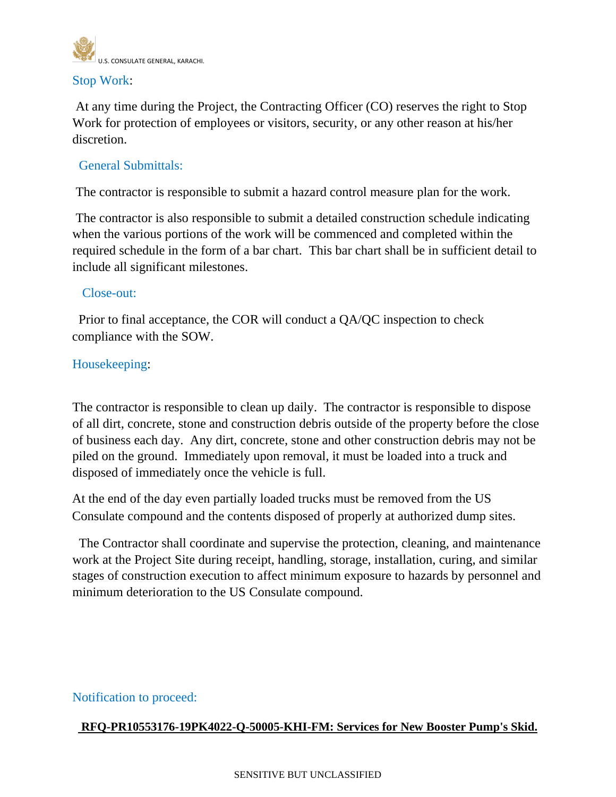

#### Stop Work:

At any time during the Project, the Contracting Officer (CO) reserves the right to Stop Work for protection of employees or visitors, security, or any other reason at his/her discretion.

## General Submittals:

The contractor is responsible to submit a hazard control measure plan for the work.

The contractor is also responsible to submit a detailed construction schedule indicating when the various portions of the work will be commenced and completed within the required schedule in the form of a bar chart. This bar chart shall be in sufficient detail to include all significant milestones.

#### Close-out:

Prior to final acceptance, the COR will conduct a QA/QC inspection to check compliance with the SOW.

#### Housekeeping:

The contractor is responsible to clean up daily. The contractor is responsible to dispose of all dirt, concrete, stone and construction debris outside of the property before the close of business each day. Any dirt, concrete, stone and other construction debris may not be piled on the ground. Immediately upon removal, it must be loaded into a truck and disposed of immediately once the vehicle is full.

At the end of the day even partially loaded trucks must be removed from the US Consulate compound and the contents disposed of properly at authorized dump sites.

 The Contractor shall coordinate and supervise the protection, cleaning, and maintenance work at the Project Site during receipt, handling, storage, installation, curing, and similar stages of construction execution to affect minimum exposure to hazards by personnel and minimum deterioration to the US Consulate compound.

#### Notification to proceed: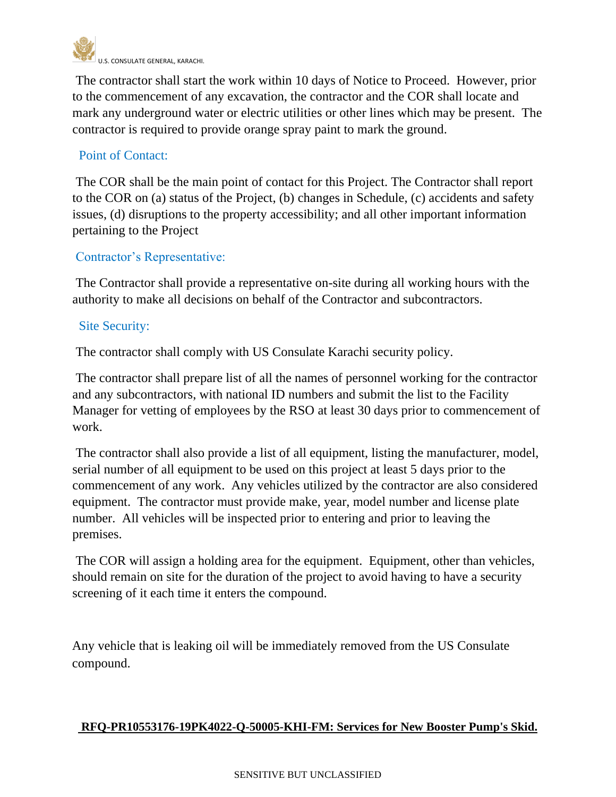

The contractor shall start the work within 10 days of Notice to Proceed. However, prior to the commencement of any excavation, the contractor and the COR shall locate and mark any underground water or electric utilities or other lines which may be present. The contractor is required to provide orange spray paint to mark the ground.

## Point of Contact:

The COR shall be the main point of contact for this Project. The Contractor shall report to the COR on (a) status of the Project, (b) changes in Schedule, (c) accidents and safety issues, (d) disruptions to the property accessibility; and all other important information pertaining to the Project

## Contractor's Representative:

The Contractor shall provide a representative on-site during all working hours with the authority to make all decisions on behalf of the Contractor and subcontractors.

## Site Security:

The contractor shall comply with US Consulate Karachi security policy.

The contractor shall prepare list of all the names of personnel working for the contractor and any subcontractors, with national ID numbers and submit the list to the Facility Manager for vetting of employees by the RSO at least 30 days prior to commencement of work.

The contractor shall also provide a list of all equipment, listing the manufacturer, model, serial number of all equipment to be used on this project at least 5 days prior to the commencement of any work. Any vehicles utilized by the contractor are also considered equipment. The contractor must provide make, year, model number and license plate number. All vehicles will be inspected prior to entering and prior to leaving the premises.

The COR will assign a holding area for the equipment. Equipment, other than vehicles, should remain on site for the duration of the project to avoid having to have a security screening of it each time it enters the compound.

Any vehicle that is leaking oil will be immediately removed from the US Consulate compound.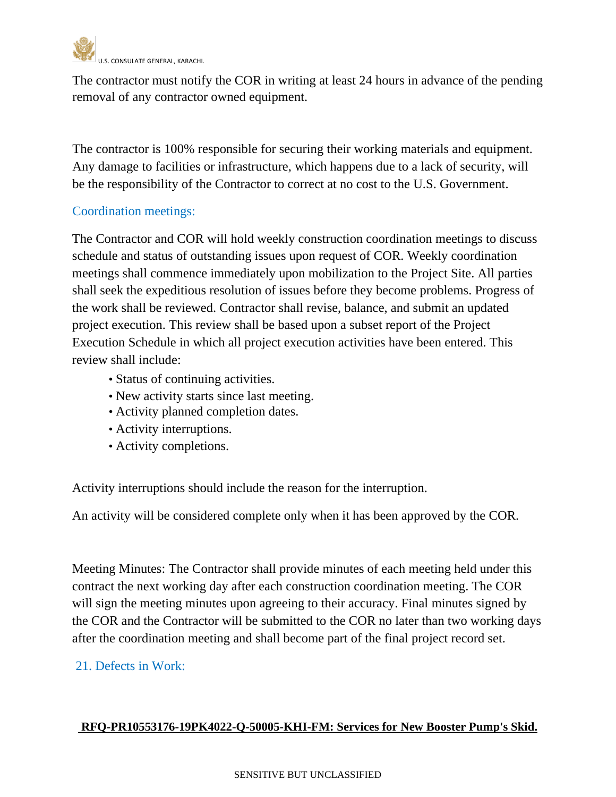

The contractor must notify the COR in writing at least 24 hours in advance of the pending removal of any contractor owned equipment.

The contractor is 100% responsible for securing their working materials and equipment. Any damage to facilities or infrastructure, which happens due to a lack of security, will be the responsibility of the Contractor to correct at no cost to the U.S. Government.

## Coordination meetings:

The Contractor and COR will hold weekly construction coordination meetings to discuss schedule and status of outstanding issues upon request of COR. Weekly coordination meetings shall commence immediately upon mobilization to the Project Site. All parties shall seek the expeditious resolution of issues before they become problems. Progress of the work shall be reviewed. Contractor shall revise, balance, and submit an updated project execution. This review shall be based upon a subset report of the Project Execution Schedule in which all project execution activities have been entered. This review shall include:

- Status of continuing activities.
- New activity starts since last meeting.
- Activity planned completion dates.
- Activity interruptions.
- Activity completions.

Activity interruptions should include the reason for the interruption.

An activity will be considered complete only when it has been approved by the COR.

Meeting Minutes: The Contractor shall provide minutes of each meeting held under this contract the next working day after each construction coordination meeting. The COR will sign the meeting minutes upon agreeing to their accuracy. Final minutes signed by the COR and the Contractor will be submitted to the COR no later than two working days after the coordination meeting and shall become part of the final project record set.

#### 21. Defects in Work: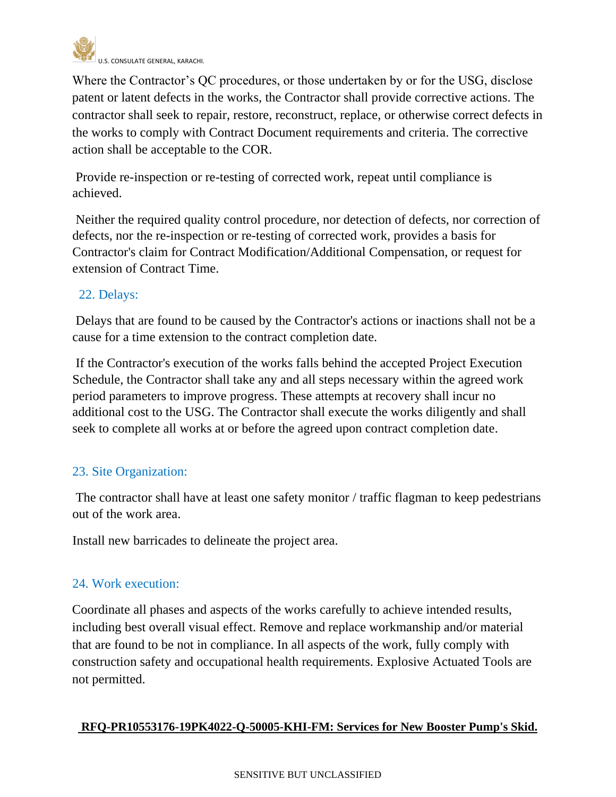

Where the Contractor's QC procedures, or those undertaken by or for the USG, disclose patent or latent defects in the works, the Contractor shall provide corrective actions. The contractor shall seek to repair, restore, reconstruct, replace, or otherwise correct defects in the works to comply with Contract Document requirements and criteria. The corrective action shall be acceptable to the COR.

Provide re-inspection or re-testing of corrected work, repeat until compliance is achieved.

Neither the required quality control procedure, nor detection of defects, nor correction of defects, nor the re-inspection or re-testing of corrected work, provides a basis for Contractor's claim for Contract Modification/Additional Compensation, or request for extension of Contract Time.

## 22. Delays:

Delays that are found to be caused by the Contractor's actions or inactions shall not be a cause for a time extension to the contract completion date.

If the Contractor's execution of the works falls behind the accepted Project Execution Schedule, the Contractor shall take any and all steps necessary within the agreed work period parameters to improve progress. These attempts at recovery shall incur no additional cost to the USG. The Contractor shall execute the works diligently and shall seek to complete all works at or before the agreed upon contract completion date.

## 23. Site Organization:

The contractor shall have at least one safety monitor / traffic flagman to keep pedestrians out of the work area.

Install new barricades to delineate the project area.

## 24. Work execution:

Coordinate all phases and aspects of the works carefully to achieve intended results, including best overall visual effect. Remove and replace workmanship and/or material that are found to be not in compliance. In all aspects of the work, fully comply with construction safety and occupational health requirements. Explosive Actuated Tools are not permitted.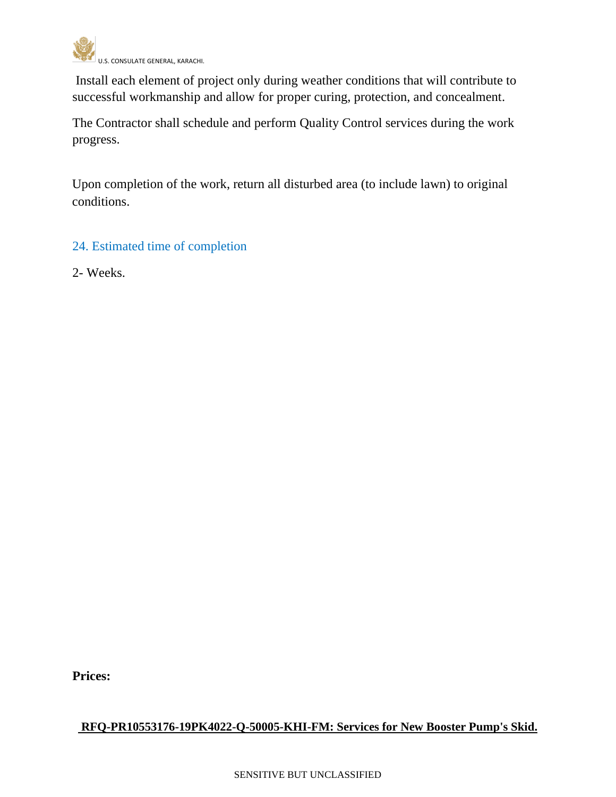

Install each element of project only during weather conditions that will contribute to successful workmanship and allow for proper curing, protection, and concealment.

The Contractor shall schedule and perform Quality Control services during the work progress.

Upon completion of the work, return all disturbed area (to include lawn) to original conditions.

## 24. Estimated time of completion

2- Weeks.

**Prices:**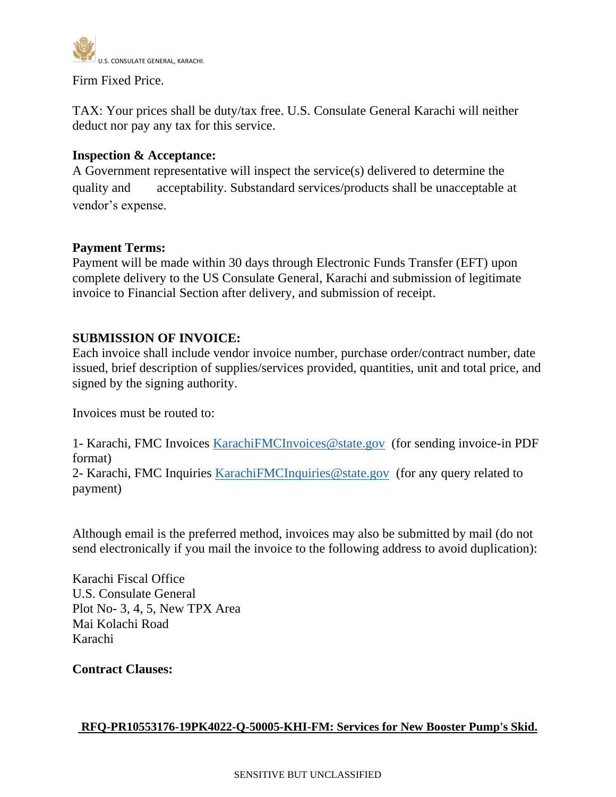

Firm Fixed Price.

TAX: Your prices shall be duty/tax free. U.S. Consulate General Karachi will neither deduct nor pay any tax for this service.

#### **Inspection & Acceptance:**

A Government representative will inspect the service(s) delivered to determine the quality and acceptability. Substandard services/products shall be unacceptable at vendor's expense.

#### **Payment Terms:**

Payment will be made within 30 days through Electronic Funds Transfer (EFT) upon complete delivery to the US Consulate General, Karachi and submission of legitimate invoice to Financial Section after delivery, and submission of receipt.

#### **SUBMISSION OF INVOICE:**

Each invoice shall include vendor invoice number, purchase order/contract number, date issued, brief description of supplies/services provided, quantities, unit and total price, and signed by the signing authority.

Invoices must be routed to:

1- Karachi, FMC Invoices [KarachiFMCInvoices@state.gov](mailto:KarachiFMCInvoices@state.gov) (for sending invoice-in PDF format)

2- Karachi, FMC Inquiries [KarachiFMCInquiries@state.gov](mailto:KarachiFMCInquiries@state.gov) (for any query related to payment)

Although email is the preferred method, invoices may also be submitted by mail (do not send electronically if you mail the invoice to the following address to avoid duplication):

Karachi Fiscal Office U.S. Consulate General Plot No- 3, 4, 5, New TPX Area Mai Kolachi Road Karachi

**Contract Clauses:**